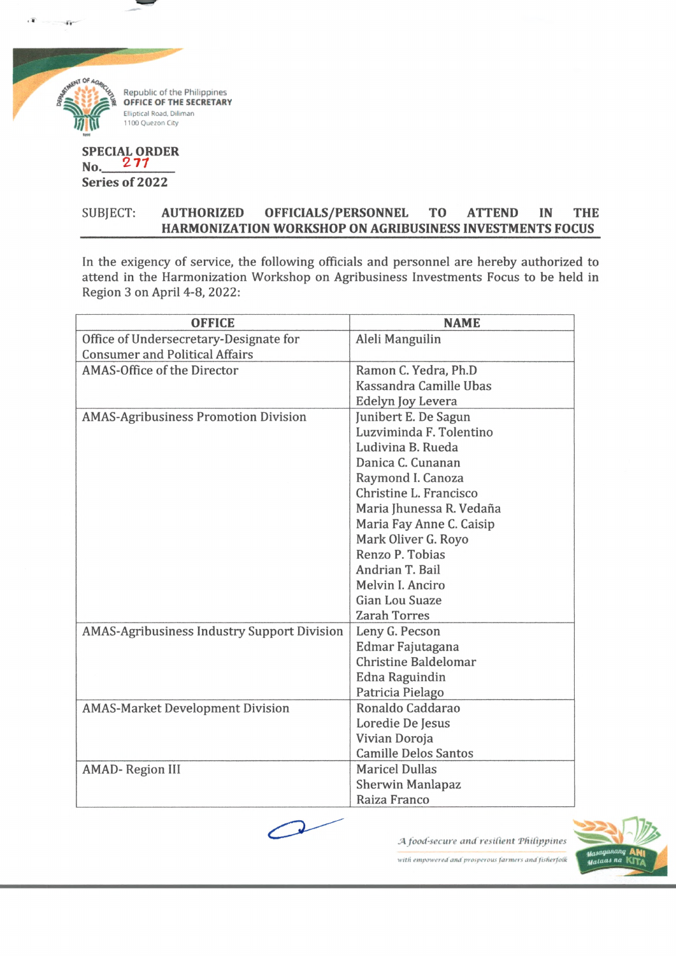

 $\tilde{W}$ 

**SPECIAL ORDER** No. 277 **Series of 2022**

## SUBJECT: **AUTHORIZED OFFICIALS/PERSONNEL TO ATTEND IN THE HARMONIZATION WORKSHOP ON AGRIBUSINESS INVESTMENTS FOCUS**

In the exigency of service, the following officials and personnel are hereby authorized to attend in the Harmonization Workshop on Agribusiness Investments Focus to be held in Region 3 on April 4-8, 2022:

| <b>OFFICE</b>                                      | <b>NAME</b>                 |
|----------------------------------------------------|-----------------------------|
| Office of Undersecretary-Designate for             | Aleli Manguilin             |
| <b>Consumer and Political Affairs</b>              |                             |
| AMAS-Office of the Director                        | Ramon C. Yedra, Ph.D        |
|                                                    | Kassandra Camille Ubas      |
|                                                    | Edelyn Joy Levera           |
| <b>AMAS-Agribusiness Promotion Division</b>        | Junibert E. De Sagun        |
|                                                    | Luzviminda F. Tolentino     |
|                                                    | Ludivina B. Rueda           |
|                                                    | Danica C. Cunanan           |
|                                                    | Raymond I. Canoza           |
|                                                    | Christine L. Francisco      |
|                                                    | Maria Jhunessa R. Vedaña    |
|                                                    | Maria Fay Anne C. Caisip    |
|                                                    | Mark Oliver G. Royo         |
|                                                    | Renzo P. Tobias             |
|                                                    | Andrian T. Bail             |
|                                                    | Melvin I. Anciro            |
|                                                    | Gian Lou Suaze              |
|                                                    | <b>Zarah Torres</b>         |
| <b>AMAS-Agribusiness Industry Support Division</b> | Leny G. Pecson              |
|                                                    | Edmar Fajutagana            |
|                                                    | <b>Christine Baldelomar</b> |
|                                                    | Edna Raguindin              |
|                                                    | Patricia Pielago            |
| <b>AMAS-Market Development Division</b>            | Ronaldo Caddarao            |
|                                                    | Loredie De Jesus            |
|                                                    | Vivian Doroja               |
|                                                    | <b>Camille Delos Santos</b> |
| <b>AMAD-Region III</b>                             | <b>Maricel Dullas</b>       |
|                                                    | <b>Sherwin Manlapaz</b>     |
|                                                    | Raiza Franco                |

*food-secure and resilient THifipjtines*



with empowered and prosperous farmers and fisherfolk